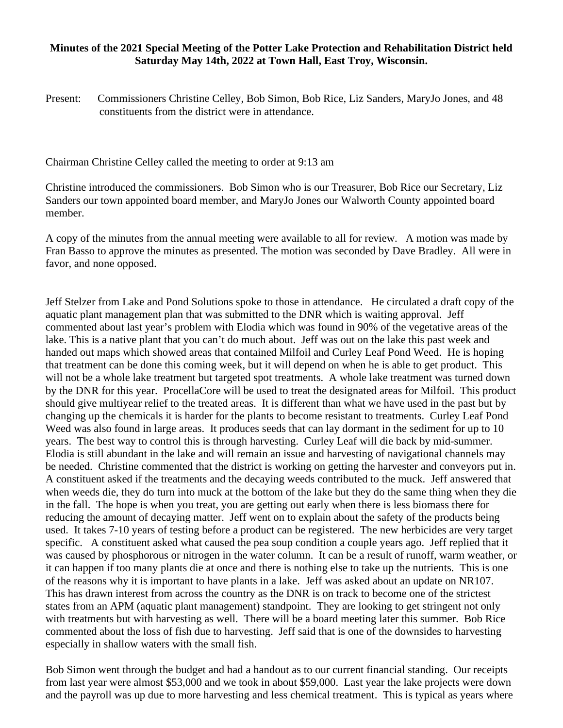## **Minutes of the 2021 Special Meeting of the Potter Lake Protection and Rehabilitation District held Saturday May 14th, 2022 at Town Hall, East Troy, Wisconsin.**

Present: Commissioners Christine Celley, Bob Simon, Bob Rice, Liz Sanders, MaryJo Jones, and 48 constituents from the district were in attendance.

Chairman Christine Celley called the meeting to order at 9:13 am

Christine introduced the commissioners. Bob Simon who is our Treasurer, Bob Rice our Secretary, Liz Sanders our town appointed board member, and MaryJo Jones our Walworth County appointed board member.

A copy of the minutes from the annual meeting were available to all for review. A motion was made by Fran Basso to approve the minutes as presented. The motion was seconded by Dave Bradley. All were in favor, and none opposed.

Jeff Stelzer from Lake and Pond Solutions spoke to those in attendance. He circulated a draft copy of the aquatic plant management plan that was submitted to the DNR which is waiting approval. Jeff commented about last year's problem with Elodia which was found in 90% of the vegetative areas of the lake. This is a native plant that you can't do much about. Jeff was out on the lake this past week and handed out maps which showed areas that contained Milfoil and Curley Leaf Pond Weed. He is hoping that treatment can be done this coming week, but it will depend on when he is able to get product. This will not be a whole lake treatment but targeted spot treatments. A whole lake treatment was turned down by the DNR for this year. ProcellaCore will be used to treat the designated areas for Milfoil. This product should give multiyear relief to the treated areas. It is different than what we have used in the past but by changing up the chemicals it is harder for the plants to become resistant to treatments. Curley Leaf Pond Weed was also found in large areas. It produces seeds that can lay dormant in the sediment for up to 10 years. The best way to control this is through harvesting. Curley Leaf will die back by mid-summer. Elodia is still abundant in the lake and will remain an issue and harvesting of navigational channels may be needed. Christine commented that the district is working on getting the harvester and conveyors put in. A constituent asked if the treatments and the decaying weeds contributed to the muck. Jeff answered that when weeds die, they do turn into muck at the bottom of the lake but they do the same thing when they die in the fall. The hope is when you treat, you are getting out early when there is less biomass there for reducing the amount of decaying matter. Jeff went on to explain about the safety of the products being used. It takes 7-10 years of testing before a product can be registered. The new herbicides are very target specific. A constituent asked what caused the pea soup condition a couple years ago. Jeff replied that it was caused by phosphorous or nitrogen in the water column. It can be a result of runoff, warm weather, or it can happen if too many plants die at once and there is nothing else to take up the nutrients. This is one of the reasons why it is important to have plants in a lake. Jeff was asked about an update on NR107. This has drawn interest from across the country as the DNR is on track to become one of the strictest states from an APM (aquatic plant management) standpoint. They are looking to get stringent not only with treatments but with harvesting as well. There will be a board meeting later this summer. Bob Rice commented about the loss of fish due to harvesting. Jeff said that is one of the downsides to harvesting especially in shallow waters with the small fish.

Bob Simon went through the budget and had a handout as to our current financial standing. Our receipts from last year were almost \$53,000 and we took in about \$59,000. Last year the lake projects were down and the payroll was up due to more harvesting and less chemical treatment. This is typical as years where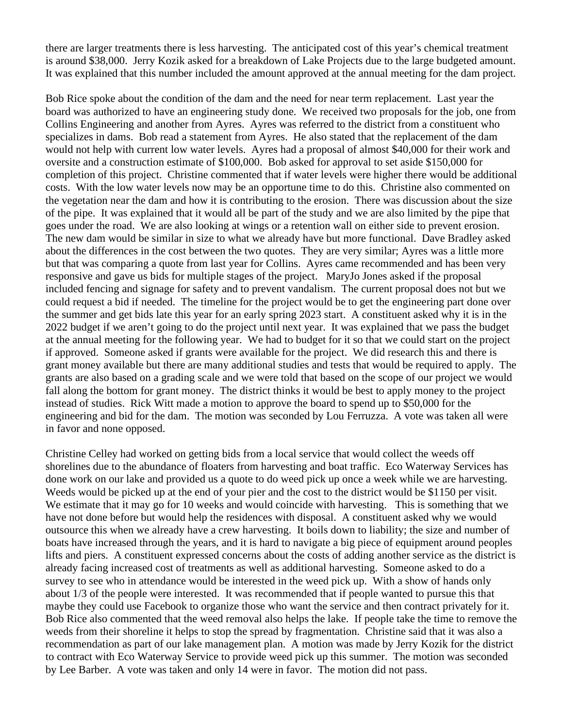there are larger treatments there is less harvesting. The anticipated cost of this year's chemical treatment is around \$38,000. Jerry Kozik asked for a breakdown of Lake Projects due to the large budgeted amount. It was explained that this number included the amount approved at the annual meeting for the dam project.

Bob Rice spoke about the condition of the dam and the need for near term replacement. Last year the board was authorized to have an engineering study done. We received two proposals for the job, one from Collins Engineering and another from Ayres. Ayres was referred to the district from a constituent who specializes in dams. Bob read a statement from Ayres. He also stated that the replacement of the dam would not help with current low water levels. Ayres had a proposal of almost \$40,000 for their work and oversite and a construction estimate of \$100,000. Bob asked for approval to set aside \$150,000 for completion of this project. Christine commented that if water levels were higher there would be additional costs. With the low water levels now may be an opportune time to do this. Christine also commented on the vegetation near the dam and how it is contributing to the erosion. There was discussion about the size of the pipe. It was explained that it would all be part of the study and we are also limited by the pipe that goes under the road. We are also looking at wings or a retention wall on either side to prevent erosion. The new dam would be similar in size to what we already have but more functional. Dave Bradley asked about the differences in the cost between the two quotes. They are very similar; Ayres was a little more but that was comparing a quote from last year for Collins. Ayres came recommended and has been very responsive and gave us bids for multiple stages of the project. MaryJo Jones asked if the proposal included fencing and signage for safety and to prevent vandalism. The current proposal does not but we could request a bid if needed. The timeline for the project would be to get the engineering part done over the summer and get bids late this year for an early spring 2023 start. A constituent asked why it is in the 2022 budget if we aren't going to do the project until next year. It was explained that we pass the budget at the annual meeting for the following year. We had to budget for it so that we could start on the project if approved. Someone asked if grants were available for the project. We did research this and there is grant money available but there are many additional studies and tests that would be required to apply. The grants are also based on a grading scale and we were told that based on the scope of our project we would fall along the bottom for grant money. The district thinks it would be best to apply money to the project instead of studies. Rick Witt made a motion to approve the board to spend up to \$50,000 for the engineering and bid for the dam. The motion was seconded by Lou Ferruzza. A vote was taken all were in favor and none opposed.

Christine Celley had worked on getting bids from a local service that would collect the weeds off shorelines due to the abundance of floaters from harvesting and boat traffic. Eco Waterway Services has done work on our lake and provided us a quote to do weed pick up once a week while we are harvesting. Weeds would be picked up at the end of your pier and the cost to the district would be \$1150 per visit. We estimate that it may go for 10 weeks and would coincide with harvesting. This is something that we have not done before but would help the residences with disposal. A constituent asked why we would outsource this when we already have a crew harvesting. It boils down to liability; the size and number of boats have increased through the years, and it is hard to navigate a big piece of equipment around peoples lifts and piers. A constituent expressed concerns about the costs of adding another service as the district is already facing increased cost of treatments as well as additional harvesting. Someone asked to do a survey to see who in attendance would be interested in the weed pick up. With a show of hands only about 1/3 of the people were interested. It was recommended that if people wanted to pursue this that maybe they could use Facebook to organize those who want the service and then contract privately for it. Bob Rice also commented that the weed removal also helps the lake. If people take the time to remove the weeds from their shoreline it helps to stop the spread by fragmentation. Christine said that it was also a recommendation as part of our lake management plan. A motion was made by Jerry Kozik for the district to contract with Eco Waterway Service to provide weed pick up this summer. The motion was seconded by Lee Barber. A vote was taken and only 14 were in favor. The motion did not pass.